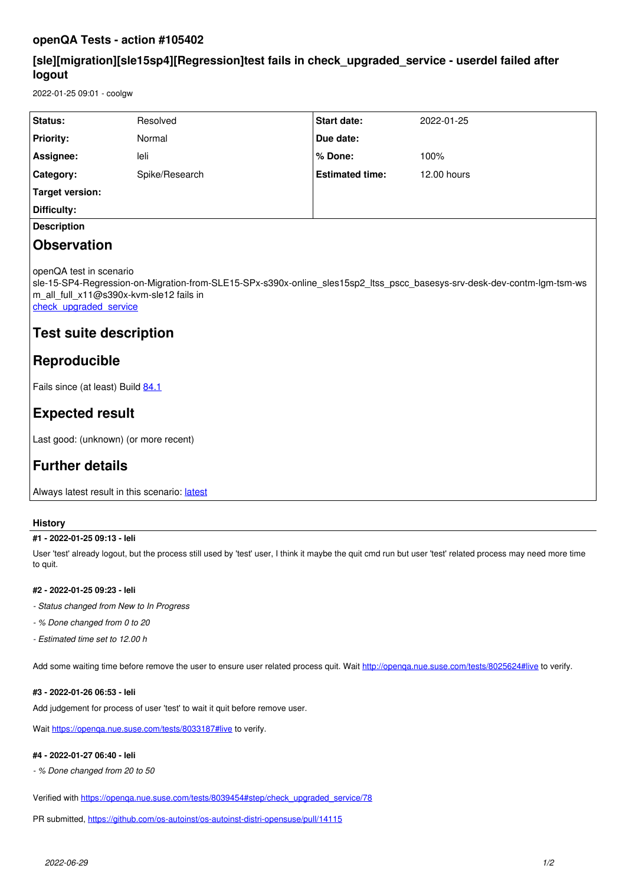## **openQA Tests - action #105402**

## **[sle][migration][sle15sp4][Regression]test fails in check\_upgraded\_service - userdel failed after logout**

2022-01-25 09:01 - coolgw

| <b>Status:</b>   | Resolved       | <b>Start date:</b>     | 2022-01-25  |
|------------------|----------------|------------------------|-------------|
| <b>Priority:</b> | Normal         | Due date:              |             |
| Assignee:        | leli           | % Done:                | 100%        |
| Category:        | Spike/Research | <b>Estimated time:</b> | 12.00 hours |
| Target version:  |                |                        |             |
| Difficulty:      |                |                        |             |
|                  |                |                        |             |

### **Description**

## **Observation**

openQA test in scenario

sle-15-SP4-Regression-on-Migration-from-SLE15-SPx-s390x-online\_sles15sp2\_ltss\_pscc\_basesys-srv-desk-dev-contm-lgm-tsm-ws m\_all\_full\_x11@s390x-kvm-sle12 fails in

check upgraded service

## **Test suite description**

## **Reproducible**

Fails since (at least) Build [84.1](https://openqa.suse.de/tests/8011736)

# **Expected result**

Last good: (unknown) (or more recent)

# **Further details**

Always [latest](https://openqa.suse.de/tests/latest?arch=s390x&distri=sle&flavor=Regression-on-Migration-from-SLE15-SPx&machine=s390x-kvm-sle12&test=online_sles15sp2_ltss_pscc_basesys-srv-desk-dev-contm-lgm-tsm-wsm_all_full_x11&version=15-SP4) result in this scenario: latest

### **History**

### **#1 - 2022-01-25 09:13 - leli**

User 'test' already logout, but the process still used by 'test' user, I think it maybe the quit cmd run but user 'test' related process may need more time to quit.

### **#2 - 2022-01-25 09:23 - leli**

*- Status changed from New to In Progress*

- *% Done changed from 0 to 20*
- *Estimated time set to 12.00 h*

Add some waiting time before remove the user to ensure user related process quit. Wait <http://openqa.nue.suse.com/tests/8025624#live> to verify.

### **#3 - 2022-01-26 06:53 - leli**

Add judgement for process of user 'test' to wait it quit before remove user.

Wait<https://openqa.nue.suse.com/tests/8033187#live> to verify.

### **#4 - 2022-01-27 06:40 - leli**

*- % Done changed from 20 to 50*

Verified with [https://openqa.nue.suse.com/tests/8039454#step/check\\_upgraded\\_service/78](https://openqa.nue.suse.com/tests/8039454#step/check_upgraded_service/78)

PR submitted, <https://github.com/os-autoinst/os-autoinst-distri-opensuse/pull/14115>